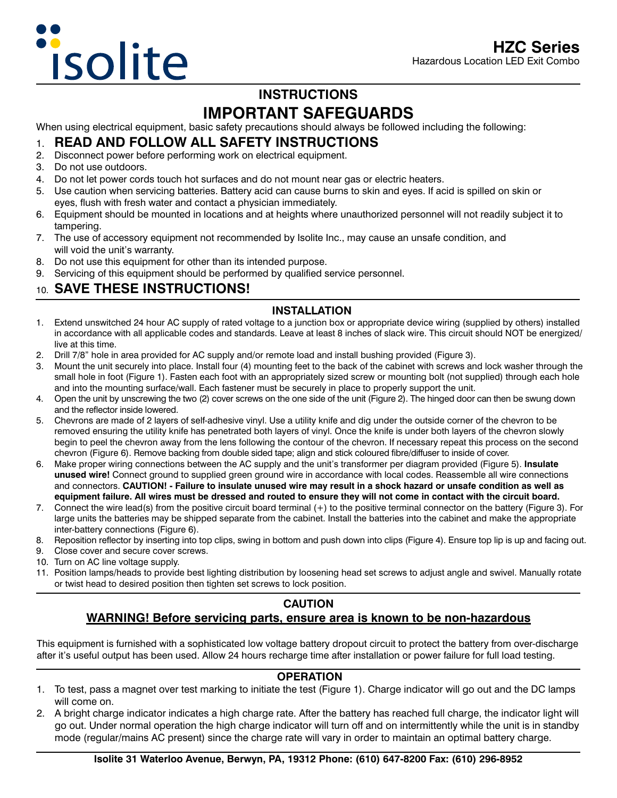## **INSTRUCTIONS IMPORTANT SAFEGUARDS**

When using electrical equipment, basic safety precautions should always be followed including the following:

### 1. **READ AND FOLLOW ALL SAFETY INSTRUCTIONS**

- 2. Disconnect power before performing work on electrical equipment.
- 3. Do not use outdoors.
- 4. Do not let power cords touch hot surfaces and do not mount near gas or electric heaters.
- 5. Use caution when servicing batteries. Battery acid can cause burns to skin and eyes. If acid is spilled on skin or eyes, flush with fresh water and contact a physician immediately.
- 6. Equipment should be mounted in locations and at heights where unauthorized personnel will not readily subject it to tampering.
- 7. The use of accessory equipment not recommended by Isolite Inc., may cause an unsafe condition, and will void the unit's warranty.
- 8. Do not use this equipment for other than its intended purpose.
- 9. Servicing of this equipment should be performed by qualified service personnel.

## 10. **SAVE THESE INSTRUCTIONS!**

#### **INSTALLATION**

- 1. Extend unswitched 24 hour AC supply of rated voltage to a junction box or appropriate device wiring (supplied by others) installed in accordance with all applicable codes and standards. Leave at least 8 inches of slack wire. This circuit should NOT be energized/ live at this time.
- 2. Drill 7/8" hole in area provided for AC supply and/or remote load and install bushing provided (Figure 3).
- 3. Mount the unit securely into place. Install four (4) mounting feet to the back of the cabinet with screws and lock washer through the small hole in foot (Figure 1). Fasten each foot with an appropriately sized screw or mounting bolt (not supplied) through each hole and into the mounting surface/wall. Each fastener must be securely in place to properly support the unit.
- 4. Open the unit by unscrewing the two (2) cover screws on the one side of the unit (Figure 2). The hinged door can then be swung down and the reflector inside lowered.
- 5. Chevrons are made of 2 layers of self-adhesive vinyl. Use a utility knife and dig under the outside corner of the chevron to be removed ensuring the utility knife has penetrated both layers of vinyl. Once the knife is under both layers of the chevron slowly begin to peel the chevron away from the lens following the contour of the chevron. If necessary repeat this process on the second chevron (Figure 6). Remove backing from double sided tape; align and stick coloured fibre/diffuser to inside of cover.
- 6. Make proper wiring connections between the AC supply and the unit's transformer per diagram provided (Figure 5). **Insulate unused wire!** Connect ground to supplied green ground wire in accordance with local codes. Reassemble all wire connections and connectors. **CAUTION! - Failure to insulate unused wire may result in a shock hazard or unsafe condition as well as equipment failure. All wires must be dressed and routed to ensure they will not come in contact with the circuit board.**
- 7. Connect the wire lead(s) from the positive circuit board terminal (+) to the positive terminal connector on the battery (Figure 3). For large units the batteries may be shipped separate from the cabinet. Install the batteries into the cabinet and make the appropriate inter-battery connections (Figure 6).
- 8. Reposition reflector by inserting into top clips, swing in bottom and push down into clips (Figure 4). Ensure top lip is up and facing out.
- 9. Close cover and secure cover screws.
- 10. Turn on AC line voltage supply.
- 11. Position lamps/heads to provide best lighting distribution by loosening head set screws to adjust angle and swivel. Manually rotate or twist head to desired position then tighten set screws to lock position.

# **CAUTION**

## **WARNING! Before servicing parts, ensure area is known to be non-hazardous**

This equipment is furnished with a sophisticated low voltage battery dropout circuit to protect the battery from over-discharge after it's useful output has been used. Allow 24 hours recharge time after installation or power failure for full load testing.

#### **OPERATION**

- 1. To test, pass a magnet over test marking to initiate the test (Figure 1). Charge indicator will go out and the DC lamps will come on.
- 2. A bright charge indicator indicates a high charge rate. After the battery has reached full charge, the indicator light will go out. Under normal operation the high charge indicator will turn off and on intermittently while the unit is in standby mode (regular/mains AC present) since the charge rate will vary in order to maintain an optimal battery charge.